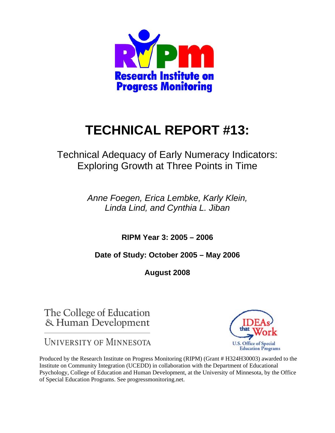

# **TECHNICAL REPORT #13:**

Technical Adequacy of Early Numeracy Indicators: Exploring Growth at Three Points in Time

> *Anne Foegen, Erica Lembke, Karly Klein, Linda Lind, and Cynthia L. Jiban*

> > **RIPM Year 3: 2005 – 2006**

**Date of Study: October 2005 – May 2006** 

**August 2008** 

The College of Education & Human Development

**UNIVERSITY OF MINNESOTA** 

Produced by the Research Institute on Progress Monitoring (RIPM) (Grant # H324H30003) awarded to the Institute on Community Integration (UCEDD) in collaboration with the Department of Educational Psychology, College of Education and Human Development, at the University of Minnesota, by the Office of Special Education Programs. See progressmonitoring.net.

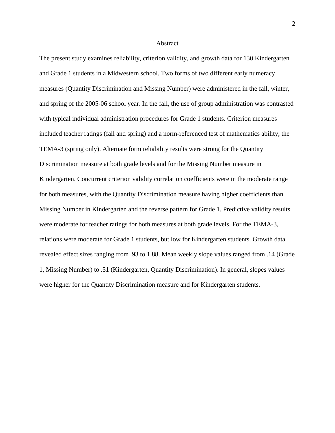#### Abstract

The present study examines reliability, criterion validity, and growth data for 130 Kindergarten and Grade 1 students in a Midwestern school. Two forms of two different early numeracy measures (Quantity Discrimination and Missing Number) were administered in the fall, winter, and spring of the 2005-06 school year. In the fall, the use of group administration was contrasted with typical individual administration procedures for Grade 1 students. Criterion measures included teacher ratings (fall and spring) and a norm-referenced test of mathematics ability, the TEMA-3 (spring only). Alternate form reliability results were strong for the Quantity Discrimination measure at both grade levels and for the Missing Number measure in Kindergarten. Concurrent criterion validity correlation coefficients were in the moderate range for both measures, with the Quantity Discrimination measure having higher coefficients than Missing Number in Kindergarten and the reverse pattern for Grade 1. Predictive validity results were moderate for teacher ratings for both measures at both grade levels. For the TEMA-3, relations were moderate for Grade 1 students, but low for Kindergarten students. Growth data revealed effect sizes ranging from .93 to 1.88. Mean weekly slope values ranged from .14 (Grade 1, Missing Number) to .51 (Kindergarten, Quantity Discrimination). In general, slopes values were higher for the Quantity Discrimination measure and for Kindergarten students.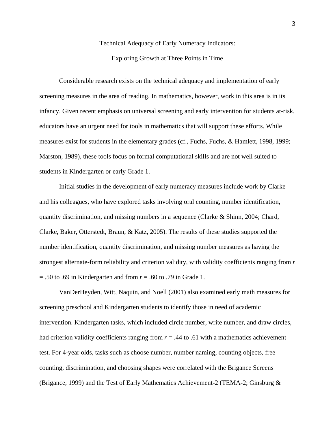## Technical Adequacy of Early Numeracy Indicators:

#### Exploring Growth at Three Points in Time

 Considerable research exists on the technical adequacy and implementation of early screening measures in the area of reading. In mathematics, however, work in this area is in its infancy. Given recent emphasis on universal screening and early intervention for students at-risk, educators have an urgent need for tools in mathematics that will support these efforts. While measures exist for students in the elementary grades (cf., Fuchs, Fuchs, & Hamlett, 1998, 1999; Marston, 1989), these tools focus on formal computational skills and are not well suited to students in Kindergarten or early Grade 1.

 Initial studies in the development of early numeracy measures include work by Clarke and his colleagues, who have explored tasks involving oral counting, number identification, quantity discrimination, and missing numbers in a sequence (Clarke & Shinn, 2004; Chard, Clarke, Baker, Otterstedt, Braun, & Katz, 2005). The results of these studies supported the number identification, quantity discrimination, and missing number measures as having the strongest alternate-form reliability and criterion validity, with validity coefficients ranging from *r* = .50 to .69 in Kindergarten and from *r* = .60 to .79 in Grade 1.

 VanDerHeyden, Witt, Naquin, and Noell (2001) also examined early math measures for screening preschool and Kindergarten students to identify those in need of academic intervention. Kindergarten tasks, which included circle number, write number, and draw circles, had criterion validity coefficients ranging from  $r = .44$  to  $.61$  with a mathematics achievement test. For 4-year olds, tasks such as choose number, number naming, counting objects, free counting, discrimination, and choosing shapes were correlated with the Brigance Screens (Brigance, 1999) and the Test of Early Mathematics Achievement-2 (TEMA-2; Ginsburg &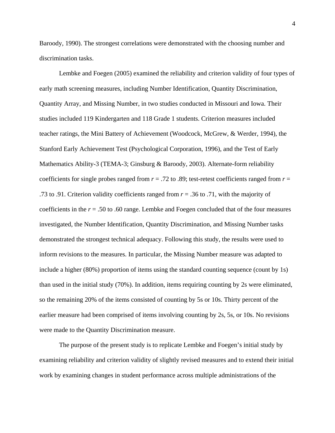Baroody, 1990). The strongest correlations were demonstrated with the choosing number and discrimination tasks.

 Lembke and Foegen (2005) examined the reliability and criterion validity of four types of early math screening measures, including Number Identification, Quantity Discrimination, Quantity Array, and Missing Number, in two studies conducted in Missouri and Iowa. Their studies included 119 Kindergarten and 118 Grade 1 students. Criterion measures included teacher ratings, the Mini Battery of Achievement (Woodcock, McGrew, & Werder, 1994), the Stanford Early Achievement Test (Psychological Corporation, 1996), and the Test of Early Mathematics Ability-3 (TEMA-3; Ginsburg & Baroody, 2003). Alternate-form reliability coefficients for single probes ranged from  $r = .72$  to .89; test-retest coefficients ranged from  $r =$ .73 to .91. Criterion validity coefficients ranged from *r* = .36 to .71, with the majority of coefficients in the *r* = .50 to .60 range. Lembke and Foegen concluded that of the four measures investigated, the Number Identification, Quantity Discrimination, and Missing Number tasks demonstrated the strongest technical adequacy. Following this study, the results were used to inform revisions to the measures. In particular, the Missing Number measure was adapted to include a higher (80%) proportion of items using the standard counting sequence (count by 1s) than used in the initial study (70%). In addition, items requiring counting by 2s were eliminated, so the remaining 20% of the items consisted of counting by 5s or 10s. Thirty percent of the earlier measure had been comprised of items involving counting by 2s, 5s, or 10s. No revisions were made to the Quantity Discrimination measure.

 The purpose of the present study is to replicate Lembke and Foegen's initial study by examining reliability and criterion validity of slightly revised measures and to extend their initial work by examining changes in student performance across multiple administrations of the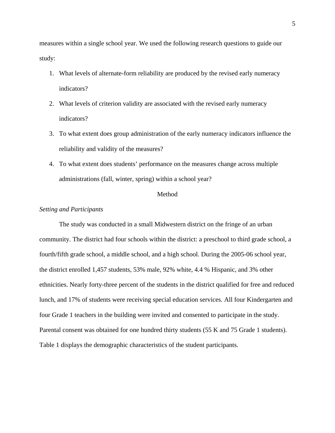measures within a single school year. We used the following research questions to guide our study:

- 1. What levels of alternate-form reliability are produced by the revised early numeracy indicators?
- 2. What levels of criterion validity are associated with the revised early numeracy indicators?
- 3. To what extent does group administration of the early numeracy indicators influence the reliability and validity of the measures?
- 4. To what extent does students' performance on the measures change across multiple administrations (fall, winter, spring) within a school year?

#### Method

#### *Setting and Participants*

 The study was conducted in a small Midwestern district on the fringe of an urban community. The district had four schools within the district: a preschool to third grade school, a fourth/fifth grade school, a middle school, and a high school. During the 2005-06 school year, the district enrolled 1,457 students, 53% male, 92% white, 4.4 % Hispanic, and 3% other ethnicities. Nearly forty-three percent of the students in the district qualified for free and reduced lunch, and 17% of students were receiving special education services. All four Kindergarten and four Grade 1 teachers in the building were invited and consented to participate in the study. Parental consent was obtained for one hundred thirty students (55 K and 75 Grade 1 students). Table 1 displays the demographic characteristics of the student participants.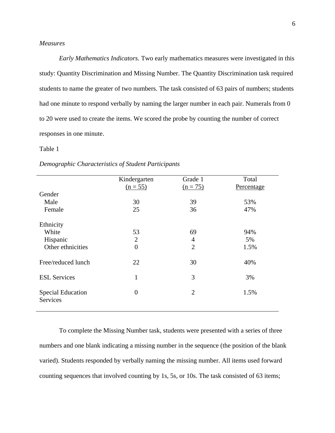#### *Measures*

*Early Mathematics Indicators.* Two early mathematics measures were investigated in this study: Quantity Discrimination and Missing Number. The Quantity Discrimination task required students to name the greater of two numbers. The task consisted of 63 pairs of numbers; students had one minute to respond verbally by naming the larger number in each pair. Numerals from 0 to 20 were used to create the items. We scored the probe by counting the number of correct responses in one minute.

#### Table 1

|                          | Kindergarten   | Grade 1        | Total      |
|--------------------------|----------------|----------------|------------|
|                          | $(n = 55)$     | $(n = 75)$     | Percentage |
| Gender                   |                |                |            |
| Male                     | 30             | 39             | 53%        |
| Female                   | 25             | 36             | 47%        |
|                          |                |                |            |
| Ethnicity                |                |                |            |
| White                    | 53             | 69             | 94%        |
| Hispanic                 | $\overline{2}$ | $\overline{4}$ | 5%         |
| Other ethnicities        | $\overline{0}$ | $\overline{2}$ | 1.5%       |
|                          |                |                |            |
| Free/reduced lunch       | 22             | 30             | 40%        |
|                          |                |                |            |
| <b>ESL Services</b>      | $\mathbf{1}$   | 3              | 3%         |
|                          |                |                |            |
| <b>Special Education</b> | $\overline{0}$ | $\overline{2}$ | 1.5%       |
| Services                 |                |                |            |
|                          |                |                |            |
|                          |                |                |            |

#### *Demographic Characteristics of Student Participants*

To complete the Missing Number task, students were presented with a series of three numbers and one blank indicating a missing number in the sequence (the position of the blank varied). Students responded by verbally naming the missing number. All items used forward counting sequences that involved counting by 1s, 5s, or 10s. The task consisted of 63 items;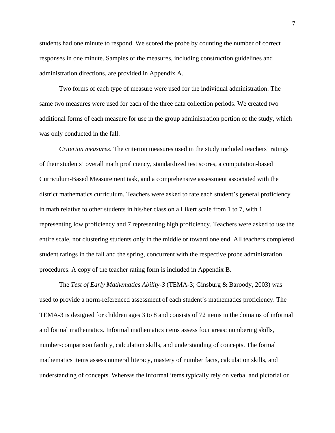students had one minute to respond. We scored the probe by counting the number of correct responses in one minute. Samples of the measures, including construction guidelines and administration directions, are provided in Appendix A.

Two forms of each type of measure were used for the individual administration. The same two measures were used for each of the three data collection periods. We created two additional forms of each measure for use in the group administration portion of the study, which was only conducted in the fall.

*Criterion measures*. The criterion measures used in the study included teachers' ratings of their students' overall math proficiency, standardized test scores, a computation-based Curriculum-Based Measurement task, and a comprehensive assessment associated with the district mathematics curriculum. Teachers were asked to rate each student's general proficiency in math relative to other students in his/her class on a Likert scale from 1 to 7, with 1 representing low proficiency and 7 representing high proficiency. Teachers were asked to use the entire scale, not clustering students only in the middle or toward one end. All teachers completed student ratings in the fall and the spring, concurrent with the respective probe administration procedures. A copy of the teacher rating form is included in Appendix B.

The *Test of Early Mathematics Ability-3* (TEMA-3; Ginsburg & Baroody, 2003) was used to provide a norm-referenced assessment of each student's mathematics proficiency. The TEMA-3 is designed for children ages 3 to 8 and consists of 72 items in the domains of informal and formal mathematics. Informal mathematics items assess four areas: numbering skills, number-comparison facility, calculation skills, and understanding of concepts. The formal mathematics items assess numeral literacy, mastery of number facts, calculation skills, and understanding of concepts. Whereas the informal items typically rely on verbal and pictorial or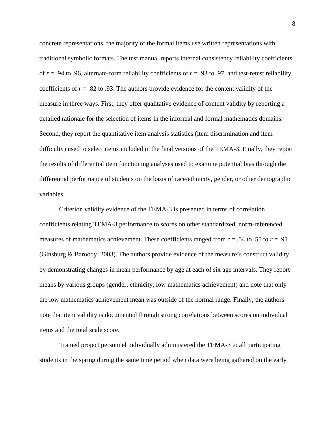concrete representations, the majority of the formal items use written representations with traditional symbolic formats. The test manual reports internal consistency reliability coefficients of  $r = .94$  to .96, alternate-form reliability coefficients of  $r = .93$  to .97, and test-retest reliability coefficients of  $r = .82$  to .93. The authors provide evidence for the content validity of the measure in three ways. First, they offer qualitative evidence of content validity by reporting a detailed rationale for the selection of items in the informal and formal mathematics domains. Second, they report the quantitative item analysis statistics (item discrimination and item difficulty) used to select items included in the final versions of the TEMA-3. Finally, they report the results of differential item functioning analyses used to examine potential bias through the differential performance of students on the basis of race/ethnicity, gender, or other demographic variables.

Criterion validity evidence of the TEMA-3 is presented in terms of correlation coefficients relating TEMA-3 performance to scores on other standardized, norm-referenced measures of mathematics achievement. These coefficients ranged from  $r = .54$  to  $.55$  to  $r = .91$ (Ginsburg & Baroody, 2003). The authors provide evidence of the measure's construct validity by demonstrating changes in mean performance by age at each of six age intervals. They report means by various groups (gender, ethnicity, low mathematics achievement) and note that only the low mathematics achievement mean was outside of the normal range. Finally, the authors note that item validity is documented through strong correlations between scores on individual items and the total scale score.

Trained project personnel individually administered the TEMA-3 to all participating students in the spring during the same time period when data were being gathered on the early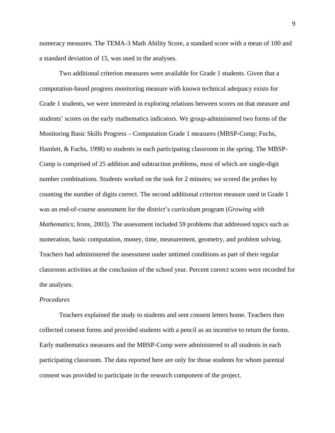numeracy measures. The TEMA-3 Math Ability Score, a standard score with a mean of 100 and a standard deviation of 15, was used in the analyses.

Two additional criterion measures were available for Grade 1 students. Given that a computation-based progress monitoring measure with known technical adequacy exists for Grade 1 students, we were interested in exploring relations between scores on that measure and students' scores on the early mathematics indicators. We group-administered two forms of the Monitoring Basic Skills Progress – Computation Grade 1 measures (MBSP-Comp; Fuchs, Hamlett, & Fuchs, 1998) to students in each participating classroom in the spring. The MBSP-Comp is comprised of 25 addition and subtraction problems, most of which are single-digit number combinations. Students worked on the task for 2 minutes; we scored the probes by counting the number of digits correct. The second additional criterion measure used in Grade 1 was an end-of-course assessment for the district's curriculum program (*Growing with Mathematics*; Irons, 2003). The assessment included 59 problems that addressed topics such as numeration, basic computation, money, time, measurement, geometry, and problem solving. Teachers had administered the assessment under untimed conditions as part of their regular classroom activities at the conclusion of the school year. Percent correct scores were recorded for the analyses.

#### *Procedures*

Teachers explained the study to students and sent consent letters home. Teachers then collected consent forms and provided students with a pencil as an incentive to return the forms. Early mathematics measures and the MBSP-Comp were administered to all students in each participating classroom. The data reported here are only for those students for whom parental consent was provided to participate in the research component of the project.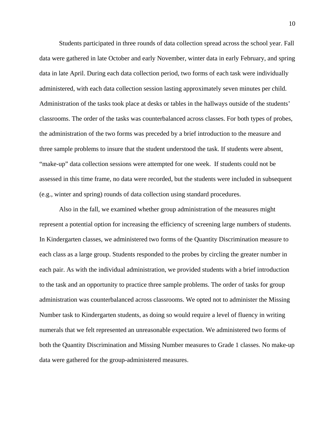Students participated in three rounds of data collection spread across the school year. Fall data were gathered in late October and early November, winter data in early February, and spring data in late April. During each data collection period, two forms of each task were individually administered, with each data collection session lasting approximately seven minutes per child. Administration of the tasks took place at desks or tables in the hallways outside of the students' classrooms. The order of the tasks was counterbalanced across classes. For both types of probes, the administration of the two forms was preceded by a brief introduction to the measure and three sample problems to insure that the student understood the task. If students were absent, "make-up" data collection sessions were attempted for one week. If students could not be assessed in this time frame, no data were recorded, but the students were included in subsequent (e.g., winter and spring) rounds of data collection using standard procedures.

 Also in the fall, we examined whether group administration of the measures might represent a potential option for increasing the efficiency of screening large numbers of students. In Kindergarten classes, we administered two forms of the Quantity Discrimination measure to each class as a large group. Students responded to the probes by circling the greater number in each pair. As with the individual administration, we provided students with a brief introduction to the task and an opportunity to practice three sample problems. The order of tasks for group administration was counterbalanced across classrooms. We opted not to administer the Missing Number task to Kindergarten students, as doing so would require a level of fluency in writing numerals that we felt represented an unreasonable expectation. We administered two forms of both the Quantity Discrimination and Missing Number measures to Grade 1 classes. No make-up data were gathered for the group-administered measures.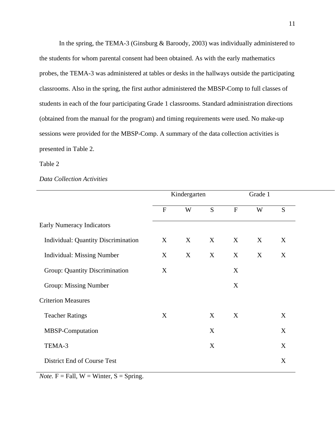In the spring, the TEMA-3 (Ginsburg & Baroody, 2003) was individually administered to the students for whom parental consent had been obtained. As with the early mathematics probes, the TEMA-3 was administered at tables or desks in the hallways outside the participating classrooms. Also in the spring, the first author administered the MBSP-Comp to full classes of students in each of the four participating Grade 1 classrooms. Standard administration directions (obtained from the manual for the program) and timing requirements were used. No make-up sessions were provided for the MBSP-Comp. A summary of the data collection activities is presented in Table 2.

#### Table 2

#### *Data Collection Activities*

|                                            |                | Kindergarten |   | Grade 1      |   |   |
|--------------------------------------------|----------------|--------------|---|--------------|---|---|
|                                            | $\overline{F}$ | W            | S | $\mathbf{F}$ | W | S |
| <b>Early Numeracy Indicators</b>           |                |              |   |              |   |   |
| <b>Individual: Quantity Discrimination</b> | X              | X            | X | X            | X | X |
| <b>Individual: Missing Number</b>          | X              | X            | X | X            | X | X |
| Group: Quantity Discrimination             | X              |              |   | X            |   |   |
| Group: Missing Number                      |                |              |   | X            |   |   |
| <b>Criterion Measures</b>                  |                |              |   |              |   |   |
| <b>Teacher Ratings</b>                     | X              |              | X | X            |   | X |
| MBSP-Computation                           |                |              | X |              |   | X |
| TEMA-3                                     |                |              | X |              |   | X |
| District End of Course Test                |                |              |   |              |   | X |
|                                            |                |              |   |              |   |   |

*Note.*  $F = Fall, W = Winter, S = Spring.$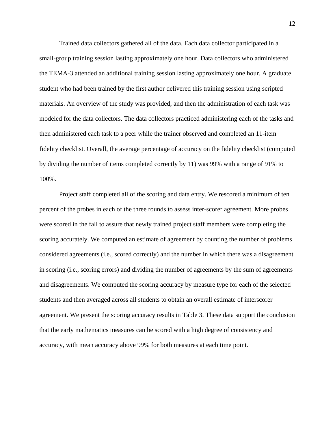Trained data collectors gathered all of the data. Each data collector participated in a small-group training session lasting approximately one hour. Data collectors who administered the TEMA-3 attended an additional training session lasting approximately one hour. A graduate student who had been trained by the first author delivered this training session using scripted materials. An overview of the study was provided, and then the administration of each task was modeled for the data collectors. The data collectors practiced administering each of the tasks and then administered each task to a peer while the trainer observed and completed an 11-item fidelity checklist. Overall, the average percentage of accuracy on the fidelity checklist (computed by dividing the number of items completed correctly by 11) was 99% with a range of 91% to 100%.

 Project staff completed all of the scoring and data entry. We rescored a minimum of ten percent of the probes in each of the three rounds to assess inter-scorer agreement. More probes were scored in the fall to assure that newly trained project staff members were completing the scoring accurately. We computed an estimate of agreement by counting the number of problems considered agreements (i.e., scored correctly) and the number in which there was a disagreement in scoring (i.e., scoring errors) and dividing the number of agreements by the sum of agreements and disagreements. We computed the scoring accuracy by measure type for each of the selected students and then averaged across all students to obtain an overall estimate of interscorer agreement. We present the scoring accuracy results in Table 3. These data support the conclusion that the early mathematics measures can be scored with a high degree of consistency and accuracy, with mean accuracy above 99% for both measures at each time point.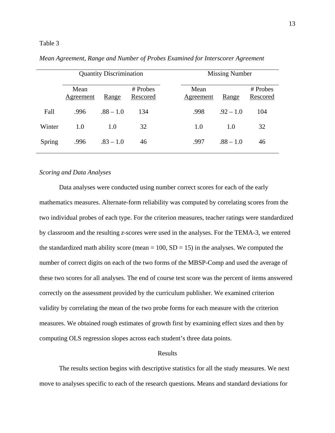|        |                   | <b>Quantity Discrimination</b> |                      | <b>Missing Number</b> |             |                      |  |  |
|--------|-------------------|--------------------------------|----------------------|-----------------------|-------------|----------------------|--|--|
|        | Mean<br>Agreement | Range                          | # Probes<br>Rescored | Mean<br>Agreement     | Range       | # Probes<br>Rescored |  |  |
| Fall   | .996              | $.88 - 1.0$                    | 134                  | .998                  | $.92 - 1.0$ | 104                  |  |  |
| Winter | 1.0               | 1.0                            | 32                   | 1.0                   | 1.0         | 32                   |  |  |
| Spring | .996              | $.83 - 1.0$                    | 46                   | .997                  | $.88 - 1.0$ | 46                   |  |  |

*Mean Agreement, Range and Number of Probes Examined for Interscorer Agreement* 

#### *Scoring and Data Analyses*

 Data analyses were conducted using number correct scores for each of the early mathematics measures. Alternate-form reliability was computed by correlating scores from the two individual probes of each type. For the criterion measures, teacher ratings were standardized by classroom and the resulting *z*-scores were used in the analyses. For the TEMA-3, we entered the standardized math ability score (mean  $= 100$ , SD  $= 15$ ) in the analyses. We computed the number of correct digits on each of the two forms of the MBSP-Comp and used the average of these two scores for all analyses. The end of course test score was the percent of items answered correctly on the assessment provided by the curriculum publisher. We examined criterion validity by correlating the mean of the two probe forms for each measure with the criterion measures. We obtained rough estimates of growth first by examining effect sizes and then by computing OLS regression slopes across each student's three data points.

#### Results

 The results section begins with descriptive statistics for all the study measures. We next move to analyses specific to each of the research questions. Means and standard deviations for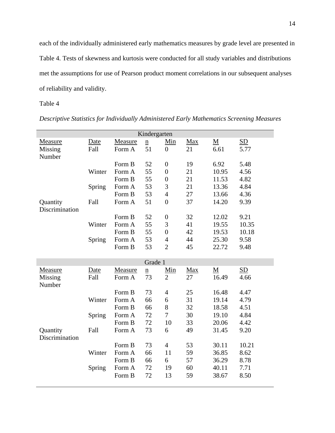each of the individually administered early mathematics measures by grade level are presented in Table 4. Tests of skewness and kurtosis were conducted for all study variables and distributions met the assumptions for use of Pearson product moment correlations in our subsequent analyses of reliability and validity.

Table 4

|                            |        |         | Kindergarten                |                  |            |                          |       |
|----------------------------|--------|---------|-----------------------------|------------------|------------|--------------------------|-------|
| Measure                    | Date   | Measure | $\underline{n}$             | Min              | Max        | $\underline{\mathbf{M}}$ | SD    |
| Missing<br>Number          | Fall   | Form A  | 51                          | $\boldsymbol{0}$ | 21         | 6.61                     | 5.77  |
|                            |        | Form B  | 52                          | $\boldsymbol{0}$ | 19         | 6.92                     | 5.48  |
|                            | Winter | Form A  | 55                          | $\boldsymbol{0}$ | 21         | 10.95                    | 4.56  |
|                            |        | Form B  | 55                          | $\boldsymbol{0}$ | 21         | 11.53                    | 4.82  |
|                            | Spring | Form A  | 53                          | 3                | 21         | 13.36                    | 4.84  |
|                            |        | Form B  | 53                          | $\overline{4}$   | 27         | 13.66                    | 4.36  |
| Quantity<br>Discrimination | Fall   | Form A  | 51                          | $\overline{0}$   | 37         | 14.20                    | 9.39  |
|                            |        | Form B  | 52                          | $\boldsymbol{0}$ | 32         | 12.02                    | 9.21  |
|                            | Winter | Form A  | 55                          | 3                | 41         | 19.55                    | 10.35 |
|                            |        | Form B  | 55                          | $\overline{0}$   | 42         | 19.53                    | 10.18 |
|                            | Spring | Form A  | 53                          | $\overline{4}$   | 44         | 25.30                    | 9.58  |
|                            |        | Form B  | 53                          | $\overline{2}$   | 45         | 22.72                    | 9.48  |
|                            |        |         | Grade 1                     |                  |            |                          |       |
| <b>Measure</b>             | Date   | Measure | $\underline{\underline{n}}$ | <u>Min</u>       | <b>Max</b> | $\underline{\mathbf{M}}$ | SD    |
| Missing<br>Number          | Fall   | Form A  | 73                          | $\overline{2}$   | 27         | 16.49                    | 4.66  |
|                            |        | Form B  | 73                          | $\overline{4}$   | 25         | 16.48                    | 4.47  |
|                            | Winter | Form A  | 66                          | 6                | 31         | 19.14                    | 4.79  |
|                            |        | Form B  | 66                          | $8\,$            | 32         | 18.58                    | 4.51  |
|                            | Spring | Form A  | 72                          | $\overline{7}$   | 30         | 19.10                    | 4.84  |
|                            |        | Form B  | 72                          | 10               | 33         | 20.06                    | 4.42  |
| Quantity                   | Fall   | Form A  | 73                          | 6                | 49         | 31.45                    | 9.20  |
| Discrimination             |        |         |                             |                  |            |                          |       |
|                            |        | Form B  | 73                          | $\overline{4}$   | 53         | 30.11                    | 10.21 |
|                            | Winter | Form A  | 66                          | 11               | 59         | 36.85                    | 8.62  |
|                            |        | Form B  | 66                          | 6                | 57         | 36.29                    | 8.78  |
|                            | Spring | Form A  | 72                          | 19               | 60         | 40.11                    | 7.71  |
|                            |        | Form B  | 72                          | 13               | 59         | 38.67                    | 8.50  |

*Descriptive Statistics for Individually Administered Early Mathematics Screening Measures*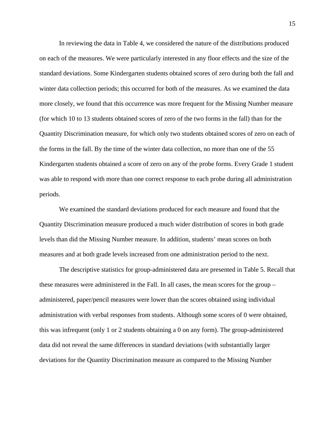In reviewing the data in Table 4, we considered the nature of the distributions produced on each of the measures. We were particularly interested in any floor effects and the size of the standard deviations. Some Kindergarten students obtained scores of zero during both the fall and winter data collection periods; this occurred for both of the measures. As we examined the data more closely, we found that this occurrence was more frequent for the Missing Number measure (for which 10 to 13 students obtained scores of zero of the two forms in the fall) than for the Quantity Discrimination measure, for which only two students obtained scores of zero on each of the forms in the fall. By the time of the winter data collection, no more than one of the 55 Kindergarten students obtained a score of zero on any of the probe forms. Every Grade 1 student was able to respond with more than one correct response to each probe during all administration periods.

 We examined the standard deviations produced for each measure and found that the Quantity Discrimination measure produced a much wider distribution of scores in both grade levels than did the Missing Number measure. In addition, students' mean scores on both measures and at both grade levels increased from one administration period to the next.

 The descriptive statistics for group-administered data are presented in Table 5. Recall that these measures were administered in the Fall. In all cases, the mean scores for the group – administered, paper/pencil measures were lower than the scores obtained using individual administration with verbal responses from students. Although some scores of 0 were obtained, this was infrequent (only 1 or 2 students obtaining a 0 on any form). The group-administered data did not reveal the same differences in standard deviations (with substantially larger deviations for the Quantity Discrimination measure as compared to the Missing Number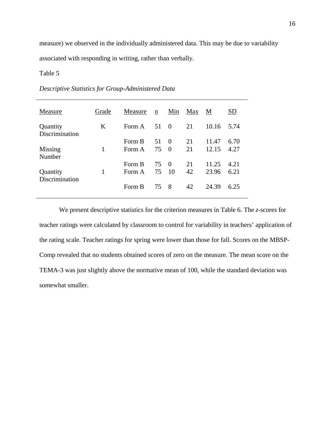measure) we observed in the individually administered data. This may be due to variability associated with responding in writing, rather than verbally.

#### Table 5

### *Descriptive Statistics for Group-Administered Data*

| Measure                    | Grade | Measure | $\underline{n}$ | Min      | Max | M     | SD   |
|----------------------------|-------|---------|-----------------|----------|-----|-------|------|
| Quantity<br>Discrimination | K     | Form A  | 51 0            |          | 21  | 10.16 | 5.74 |
|                            |       | Form B  | 51              | - ()     | 21  | 11.47 | 6.70 |
| Missing<br>Number          | 1     | Form A  | 75              | $\Omega$ | 21  | 12.15 | 4.27 |
|                            |       | Form B  | 75 0            |          | 21  | 11.25 | 4.21 |
| Quantity<br>Discrimination | 1     | Form A  | 75              | 10       | 42  | 23.96 | 6.21 |
|                            |       | Form B  | 75 8            |          | 42  | 24.39 | 6.25 |

 We present descriptive statistics for the criterion measures in Table 6. The *z*-scores for teacher ratings were calculated by classroom to control for variability in teachers' application of the rating scale. Teacher ratings for spring were lower than those for fall. Scores on the MBSP-Comp revealed that no students obtained scores of zero on the measure. The mean score on the TEMA-3 was just slightly above the normative mean of 100, while the standard deviation was somewhat smaller.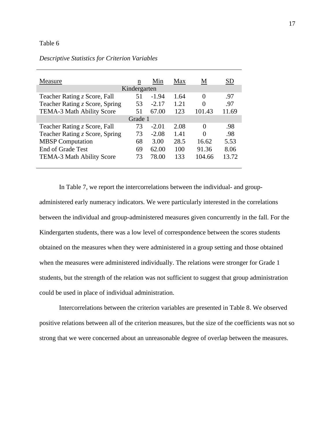| Measure                          | n  | Min     | Max  | M        | SD    |  |  |  |  |
|----------------------------------|----|---------|------|----------|-------|--|--|--|--|
| Kindergarten                     |    |         |      |          |       |  |  |  |  |
| Teacher Rating z Score, Fall     | 51 | $-1.94$ | 1.64 | $\Omega$ | .97   |  |  |  |  |
| Teacher Rating z Score, Spring   | 53 | $-2.17$ | 1.21 | 0        | .97   |  |  |  |  |
| <b>TEMA-3 Math Ability Score</b> | 51 | 67.00   | 123  | 101.43   | 11.69 |  |  |  |  |
| Grade 1                          |    |         |      |          |       |  |  |  |  |
| Teacher Rating z Score, Fall     | 73 | $-2.01$ | 2.08 | 0        | .98   |  |  |  |  |
| Teacher Rating z Score, Spring   | 73 | $-2.08$ | 1.41 | 0        | .98   |  |  |  |  |
| <b>MBSP</b> Computation          | 68 | 3.00    | 28.5 | 16.62    | 5.53  |  |  |  |  |
| <b>End of Grade Test</b>         | 69 | 62.00   | 100  | 91.36    | 8.06  |  |  |  |  |
| <b>TEMA-3 Math Ability Score</b> | 73 | 78.00   | 133  | 104.66   | 13.72 |  |  |  |  |
|                                  |    |         |      |          |       |  |  |  |  |

#### *Descriptive Statistics for Criterion Variables*

 In Table 7, we report the intercorrelations between the individual- and groupadministered early numeracy indicators. We were particularly interested in the correlations between the individual and group-administered measures given concurrently in the fall. For the Kindergarten students, there was a low level of correspondence between the scores students obtained on the measures when they were administered in a group setting and those obtained when the measures were administered individually. The relations were stronger for Grade 1 students, but the strength of the relation was not sufficient to suggest that group administration could be used in place of individual administration.

Intercorrelations between the criterion variables are presented in Table 8. We observed positive relations between all of the criterion measures, but the size of the coefficients was not so strong that we were concerned about an unreasonable degree of overlap between the measures.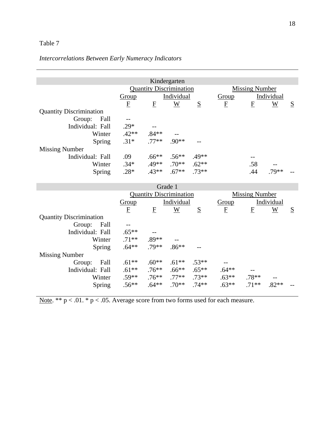# *Intercorrelations Between Early Numeracy Indicators*

|                                |                |                                | Kindergarten |         |                       |                     |         |   |
|--------------------------------|----------------|--------------------------------|--------------|---------|-----------------------|---------------------|---------|---|
|                                |                | <b>Quantity Discrimination</b> |              |         | <b>Missing Number</b> |                     |         |   |
|                                | Group          | Individual                     |              |         |                       | Individual<br>Group |         |   |
|                                | $\overline{F}$ | $\mathbf{F}$                   | W            | S       | $\mathbf{F}$          | E                   | W       | S |
| <b>Quantity Discrimination</b> |                |                                |              |         |                       |                     |         |   |
| Fall<br>Group:                 |                |                                |              |         |                       |                     |         |   |
| Individual: Fall               | $.29*$         |                                |              |         |                       |                     |         |   |
| Winter                         | $.42**$        | $.84**$                        |              |         |                       |                     |         |   |
| Spring                         | $.31*$         | $.77**$                        | $.90**$      | $- -$   |                       |                     |         |   |
| <b>Missing Number</b>          |                |                                |              |         |                       |                     |         |   |
| Individual: Fall               | .09            | $.66**$                        | $.56**$      | $.49**$ |                       |                     |         |   |
| Winter                         | $.34*$         | .49**                          | $.70**$      | $.62**$ |                       | .58                 |         |   |
| Spring                         | $.28*$         | $.43**$                        | $.67**$      | $.73**$ |                       | .44                 | $.79**$ |   |

|                                | Grade 1                 |                                |            |          |                       |         |            |   |  |  |  |
|--------------------------------|-------------------------|--------------------------------|------------|----------|-----------------------|---------|------------|---|--|--|--|
|                                |                         | <b>Quantity Discrimination</b> |            |          | <b>Missing Number</b> |         |            |   |  |  |  |
|                                | <b>Group</b>            |                                | Individual |          | <b>Group</b>          |         | Individual |   |  |  |  |
|                                | $\overline{\mathrm{E}}$ | $\bf{F}$                       | W          | S        | $\mathbf{F}$          | E       | W          | S |  |  |  |
| <b>Quantity Discrimination</b> |                         |                                |            |          |                       |         |            |   |  |  |  |
| Fall<br>Group:                 |                         |                                |            |          |                       |         |            |   |  |  |  |
| Individual: Fall               | $.65***$                |                                |            |          |                       |         |            |   |  |  |  |
| Winter                         | $.71**$                 | $.89**$                        |            |          |                       |         |            |   |  |  |  |
| Spring                         | $.64**$                 | .79**                          | $.86**$    |          |                       |         |            |   |  |  |  |
| <b>Missing Number</b>          |                         |                                |            |          |                       |         |            |   |  |  |  |
| Fall<br>Group:                 | $.61**$                 | $.60**$                        | $.61**$    | $.53**$  |                       |         |            |   |  |  |  |
| Individual: Fall               | $.61**$                 | $.76**$                        | $.66**$    | $.65***$ | $.64***$              |         |            |   |  |  |  |
| Winter                         | $.59**$                 | $.76***$                       | $.77**$    | $.73**$  | $.63**$               | $.78**$ |            |   |  |  |  |
| Spring                         | $.56**$                 | $.64**$                        | $.70**$    | $74**$   | $.63**$               | $.71**$ | $.82**$    |   |  |  |  |

Note. \*\*  $p < .01$ . \*  $p < .05$ . Average score from two forms used for each measure.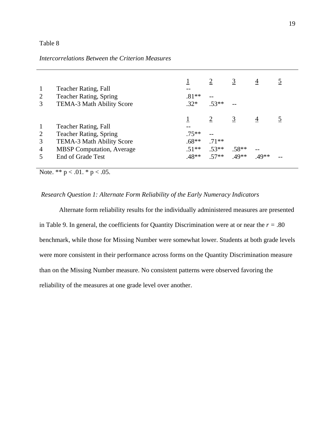### *Intercorrelations Between the Criterion Measures*

| 2<br>3         | Teacher Rating, Fall<br><b>Teacher Rating, Spring</b><br>TEMA-3 Math Ability Score | $.81**$<br>$.32*$ | $\overline{2}$<br>$.53**$ | $\overline{3}$ | 4       |  |
|----------------|------------------------------------------------------------------------------------|-------------------|---------------------------|----------------|---------|--|
|                |                                                                                    |                   |                           |                | 4       |  |
| $\mathbf{1}$   | Teacher Rating, Fall                                                               |                   |                           |                |         |  |
| 2              | <b>Teacher Rating, Spring</b>                                                      | $.75**$           |                           |                |         |  |
| 3              | TEMA-3 Math Ability Score                                                          | $.68**$           | $.71**$                   |                |         |  |
| $\overline{4}$ | <b>MBSP</b> Computation, Average                                                   | $.51**$           | $.53**$                   | $.58**$        |         |  |
| 5              | <b>End of Grade Test</b>                                                           | .48**             | $.57**$                   | $.49**$        | $.49**$ |  |

Note. \*\*  $p < .01$ . \*  $p < .05$ .

#### *Research Question 1: Alternate Form Reliability of the Early Numeracy Indicators*

 Alternate form reliability results for the individually administered measures are presented in Table 9. In general, the coefficients for Quantity Discrimination were at or near the  $r = .80$ benchmark, while those for Missing Number were somewhat lower. Students at both grade levels were more consistent in their performance across forms on the Quantity Discrimination measure than on the Missing Number measure. No consistent patterns were observed favoring the reliability of the measures at one grade level over another.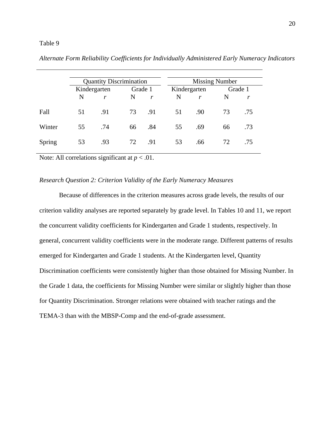|        |    | <b>Quantity Discrimination</b> |         |              |              | <b>Missing Number</b> |    |         |  |  |
|--------|----|--------------------------------|---------|--------------|--------------|-----------------------|----|---------|--|--|
|        |    | Kindergarten                   | Grade 1 |              | Kindergarten |                       |    | Grade 1 |  |  |
|        | N  | r                              | N       | $\mathbf{r}$ | N            | r                     | N  | r       |  |  |
| Fall   | 51 | .91                            | 73      | .91          | 51           | .90                   | 73 | .75     |  |  |
| Winter | 55 | .74                            | 66      | .84          | 55           | .69                   | 66 | .73     |  |  |
| Spring | 53 | .93                            | 72      | .91          | 53           | .66                   | 72 | .75     |  |  |

*Alternate Form Reliability Coefficients for Individually Administered Early Numeracy Indicators* 

Note: All correlations significant at  $p < .01$ .

#### *Research Question 2: Criterion Validity of the Early Numeracy Measures*

 Because of differences in the criterion measures across grade levels, the results of our criterion validity analyses are reported separately by grade level. In Tables 10 and 11, we report the concurrent validity coefficients for Kindergarten and Grade 1 students, respectively. In general, concurrent validity coefficients were in the moderate range. Different patterns of results emerged for Kindergarten and Grade 1 students. At the Kindergarten level, Quantity Discrimination coefficients were consistently higher than those obtained for Missing Number. In the Grade 1 data, the coefficients for Missing Number were similar or slightly higher than those for Quantity Discrimination. Stronger relations were obtained with teacher ratings and the TEMA-3 than with the MBSP-Comp and the end-of-grade assessment.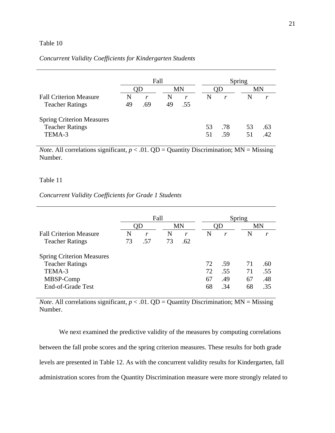#### *Concurrent Validity Coefficients for Kindergarten Students*

|                                  |    | Fall |    |     |      | Spring |    |     |  |
|----------------------------------|----|------|----|-----|------|--------|----|-----|--|
|                                  |    |      | MN |     | )  ) |        | MN |     |  |
| <b>Fall Criterion Measure</b>    | N  | r    | N  | r   | N    | r      | N  | r   |  |
| <b>Teacher Ratings</b>           | 49 | .69  | 49 | .55 |      |        |    |     |  |
| <b>Spring Criterion Measures</b> |    |      |    |     |      |        |    |     |  |
| <b>Teacher Ratings</b>           |    |      |    |     | 53   | .78    | 53 | .63 |  |
| TEMA-3                           |    |      |    |     | 51   | .59    | 51 | 42  |  |

*Note*. All correlations significant,  $p < .01$ . QD = Quantity Discrimination; MN = Missing Number.

#### Table 11

#### *Concurrent Validity Coefficients for Grade 1 Students*

|                                  | Fall |     |    |     |    | Spring |    |     |  |
|----------------------------------|------|-----|----|-----|----|--------|----|-----|--|
|                                  | OD   |     |    | MN  |    | OD     |    | MN  |  |
| <b>Fall Criterion Measure</b>    | N    | r   | N  | r   | N  | r      | N  | r   |  |
| <b>Teacher Ratings</b>           | 73   | .57 | 73 | .62 |    |        |    |     |  |
| <b>Spring Criterion Measures</b> |      |     |    |     |    |        |    |     |  |
| <b>Teacher Ratings</b>           |      |     |    |     | 72 | .59    | 71 | .60 |  |
| TEMA-3                           |      |     |    |     | 72 | .55    | 71 | .55 |  |
| MBSP-Comp                        |      |     |    |     | 67 | .49    | 67 | .48 |  |
| End-of-Grade Test                |      |     |    |     | 68 | .34    | 68 | .35 |  |

*Note*. All correlations significant,  $p < .01$ . QD = Quantity Discrimination; MN = Missing Number.

 We next examined the predictive validity of the measures by computing correlations between the fall probe scores and the spring criterion measures. These results for both grade levels are presented in Table 12. As with the concurrent validity results for Kindergarten, fall administration scores from the Quantity Discrimination measure were more strongly related to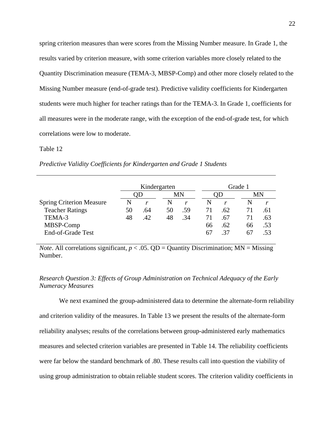spring criterion measures than were scores from the Missing Number measure. In Grade 1, the results varied by criterion measure, with some criterion variables more closely related to the Quantity Discrimination measure (TEMA-3, MBSP-Comp) and other more closely related to the Missing Number measure (end-of-grade test). Predictive validity coefficients for Kindergarten students were much higher for teacher ratings than for the TEMA-3. In Grade 1, coefficients for all measures were in the moderate range, with the exception of the end-of-grade test, for which correlations were low to moderate.

#### Table 12

*Predictive Validity Coefficients for Kindergarten and Grade 1 Students* 

|                                 | Kindergarten |     |    |     |     | Grade 1 |    |     |  |
|---------------------------------|--------------|-----|----|-----|-----|---------|----|-----|--|
|                                 |              |     | MN |     | ) ) |         | MN |     |  |
| <b>Spring Criterion Measure</b> | N            | r   | N  |     |     |         |    | r   |  |
| <b>Teacher Ratings</b>          | 50           | .64 | 50 | .59 | 71  | .62     | 71 | .61 |  |
| TEMA-3                          | 48           | .42 | 48 | .34 | 71  | .67     | 71 | .63 |  |
| MBSP-Comp                       |              |     |    |     | 66  | .62     | 66 | .53 |  |
| End-of-Grade Test               |              |     |    |     | 67  | 37      | 67 | .53 |  |

*Note*. All correlations significant,  $p < .05$ . QD = Quantity Discrimination; MN = Missing Number.

*Research Question 3: Effects of Group Administration on Technical Adequacy of the Early Numeracy Measures* 

We next examined the group-administered data to determine the alternate-form reliability and criterion validity of the measures. In Table 13 we present the results of the alternate-form reliability analyses; results of the correlations between group-administered early mathematics measures and selected criterion variables are presented in Table 14. The reliability coefficients were far below the standard benchmark of .80. These results call into question the viability of using group administration to obtain reliable student scores. The criterion validity coefficients in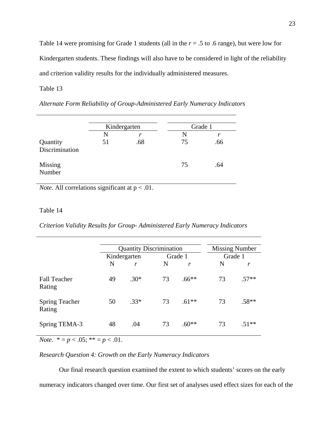Table 14 were promising for Grade 1 students (all in the *r* = .5 to .6 range), but were low for Kindergarten students. These findings will also have to be considered in light of the reliability and criterion validity results for the individually administered measures.

#### Table 13

*Alternate Form Reliability of Group-Administered Early Numeracy Indicators* 

|                            | Kindergarten |     | Grade 1 |     |
|----------------------------|--------------|-----|---------|-----|
|                            | N            | r   | N       | r   |
| Quantity<br>Discrimination | 51           | .68 | 75      | .66 |
| Missing<br>Number          |              |     | 75      | .64 |

*Note*. All correlations significant at  $p < .01$ .

#### Table 14

*Criterion Validity Results for Group- Administered Early Numeracy Indicators* 

|                                 |    | <b>Quantity Discrimination</b> |         |         |         | <b>Missing Number</b> |  |  |
|---------------------------------|----|--------------------------------|---------|---------|---------|-----------------------|--|--|
|                                 |    | Kindergarten                   | Grade 1 |         | Grade 1 |                       |  |  |
|                                 | N  | r                              | N       | r       | N       | r                     |  |  |
| <b>Fall Teacher</b><br>Rating   | 49 | $.30*$                         | 73      | $.66**$ | 73      | $.57**$               |  |  |
| <b>Spring Teacher</b><br>Rating | 50 | $.33*$                         | 73      | $.61**$ | 73      | $.58**$               |  |  |
| Spring TEMA-3                   | 48 | .04                            | 73      | $.60**$ | 73      | $.51**$               |  |  |

*Note.*  $* = p < .05; ** = p < .01$ .

#### *Research Question 4: Growth on the Early Numeracy Indicators*

 Our final research question examined the extent to which students' scores on the early numeracy indicators changed over time. Our first set of analyses used effect sizes for each of the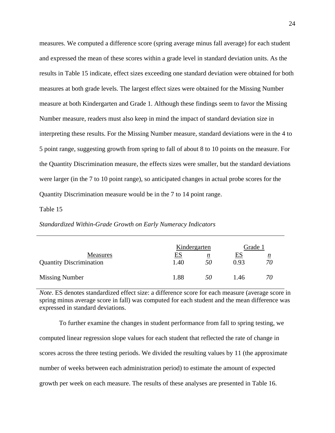measures. We computed a difference score (spring average minus fall average) for each student and expressed the mean of these scores within a grade level in standard deviation units. As the results in Table 15 indicate, effect sizes exceeding one standard deviation were obtained for both measures at both grade levels. The largest effect sizes were obtained for the Missing Number measure at both Kindergarten and Grade 1. Although these findings seem to favor the Missing Number measure, readers must also keep in mind the impact of standard deviation size in interpreting these results. For the Missing Number measure, standard deviations were in the 4 to 5 point range, suggesting growth from spring to fall of about 8 to 10 points on the measure. For the Quantity Discrimination measure, the effects sizes were smaller, but the standard deviations were larger (in the 7 to 10 point range), so anticipated changes in actual probe scores for the Quantity Discrimination measure would be in the 7 to 14 point range.

#### Table 15

#### *Standardized Within-Grade Growth on Early Numeracy Indicators*

|                                                   | Kindergarten      |         | Grade 1           |                       |
|---------------------------------------------------|-------------------|---------|-------------------|-----------------------|
| <b>Measures</b><br><b>Quantity Discrimination</b> | <u>ES</u><br>1.40 | n<br>50 | <u>ES</u><br>0.93 | $\underline{n}$<br>70 |
| <b>Missing Number</b>                             | 1.88              | 50      | 1.46              | 70                    |

*Note*. ES denotes standardized effect size: a difference score for each measure (average score in spring minus average score in fall) was computed for each student and the mean difference was expressed in standard deviations.

 To further examine the changes in student performance from fall to spring testing, we computed linear regression slope values for each student that reflected the rate of change in scores across the three testing periods. We divided the resulting values by 11 (the approximate number of weeks between each administration period) to estimate the amount of expected growth per week on each measure. The results of these analyses are presented in Table 16.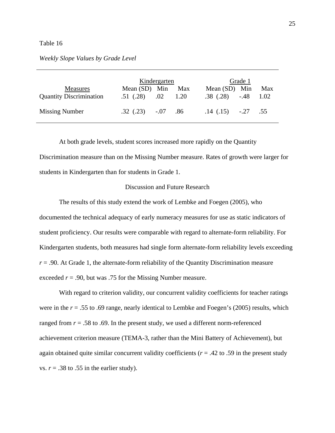#### *Weekly Slope Values by Grade Level*

|                                            | Kindergarten                    |  |             | Grade 1                                   |  |             |  |  |
|--------------------------------------------|---------------------------------|--|-------------|-------------------------------------------|--|-------------|--|--|
| Measures<br><b>Quantity Discrimination</b> | Mean (SD) Min<br>.51(0.28) 0.02 |  | Max<br>1.20 | Mean $(SD)$ Min<br>$.38 \; (.28) \; -.48$ |  | Max<br>1.02 |  |  |
| <b>Missing Number</b>                      | $.32$ $(.23)$ $-.07$ $.86$      |  |             | $.14$ $(.15)$ $-.27$ $.55$                |  |             |  |  |

 At both grade levels, student scores increased more rapidly on the Quantity Discrimination measure than on the Missing Number measure. Rates of growth were larger for students in Kindergarten than for students in Grade 1.

#### Discussion and Future Research

 The results of this study extend the work of Lembke and Foegen (2005), who documented the technical adequacy of early numeracy measures for use as static indicators of student proficiency. Our results were comparable with regard to alternate-form reliability. For Kindergarten students, both measures had single form alternate-form reliability levels exceeding *r* = .90. At Grade 1, the alternate-form reliability of the Quantity Discrimination measure exceeded *r* = .90, but was .75 for the Missing Number measure.

 With regard to criterion validity, our concurrent validity coefficients for teacher ratings were in the *r* = .55 to .69 range, nearly identical to Lembke and Foegen's (2005) results, which ranged from  $r = .58$  to  $.69$ . In the present study, we used a different norm-referenced achievement criterion measure (TEMA-3, rather than the Mini Battery of Achievement), but again obtained quite similar concurrent validity coefficients ( $r = .42$  to .59 in the present study vs.  $r = .38$  to  $.55$  in the earlier study).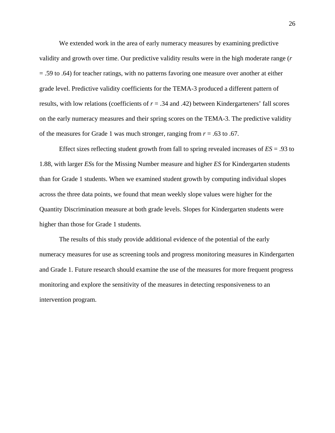We extended work in the area of early numeracy measures by examining predictive validity and growth over time. Our predictive validity results were in the high moderate range (*r* = .59 to .64) for teacher ratings, with no patterns favoring one measure over another at either grade level. Predictive validity coefficients for the TEMA-3 produced a different pattern of results, with low relations (coefficients of *r* = .34 and .42) between Kindergarteners' fall scores on the early numeracy measures and their spring scores on the TEMA-3. The predictive validity of the measures for Grade 1 was much stronger, ranging from *r* = .63 to .67.

 Effect sizes reflecting student growth from fall to spring revealed increases of *ES* = .93 to 1.88, with larger *ES*s for the Missing Number measure and higher *ES* for Kindergarten students than for Grade 1 students. When we examined student growth by computing individual slopes across the three data points, we found that mean weekly slope values were higher for the Quantity Discrimination measure at both grade levels. Slopes for Kindergarten students were higher than those for Grade 1 students.

 The results of this study provide additional evidence of the potential of the early numeracy measures for use as screening tools and progress monitoring measures in Kindergarten and Grade 1. Future research should examine the use of the measures for more frequent progress monitoring and explore the sensitivity of the measures in detecting responsiveness to an intervention program.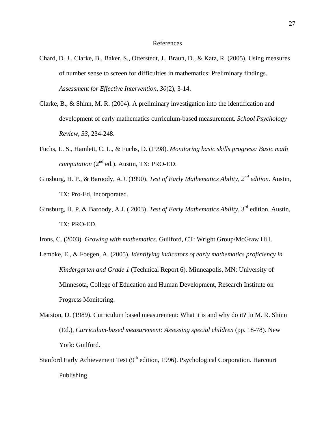#### References

- Chard, D. J., Clarke, B., Baker, S., Otterstedt, J., Braun, D., & Katz, R. (2005). Using measures of number sense to screen for difficulties in mathematics: Preliminary findings. *Assessment for Effective Intervention, 30*(2), 3-14.
- Clarke, B., & Shinn, M. R. (2004). A preliminary investigation into the identification and development of early mathematics curriculum-based measurement. *School Psychology Review, 33*, 234-248.
- Fuchs, L. S., Hamlett, C. L., & Fuchs, D. (1998). *Monitoring basic skills progress: Basic math computation* (2nd ed.). Austin, TX: PRO-ED.
- Ginsburg, H. P., & Baroody, A.J. (1990). *Test of Early Mathematics Ability, 2nd edition.* Austin, TX: Pro-Ed, Incorporated.
- Ginsburg, H. P. & Baroody, A.J. ( 2003). *Test of Early Mathematics Ability,* 3rd edition. Austin, TX: PRO-ED.
- Irons, C. (2003). *Growing with mathematics*. Guilford, CT: Wright Group/McGraw Hill.
- Lembke, E., & Foegen, A. (2005). *Identifying indicators of early mathematics proficiency in Kindergarten and Grade 1* (Technical Report 6). Minneapolis, MN: University of Minnesota, College of Education and Human Development, Research Institute on Progress Monitoring.
- Marston, D. (1989). Curriculum based measurement: What it is and why do it? In M. R. Shinn (Ed.), *Curriculum-based measurement: Assessing special children* (pp. 18-78). New York: Guilford.
- Stanford Early Achievement Test  $(9<sup>th</sup>$  edition, 1996). Psychological Corporation. Harcourt Publishing.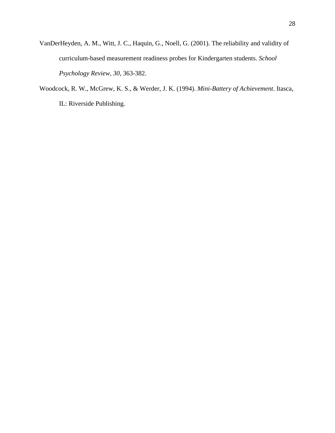- VanDerHeyden, A. M., Witt, J. C., Haquin, G., Noell, G. (2001). The reliability and validity of curriculum-based measurement readiness probes for Kindergarten students. *School Psychology Review, 30*, 363-382.
- Woodcock, R. W., McGrew, K. S., & Werder, J. K. (1994). *Mini-Battery of Achievement*. Itasca, IL: Riverside Publishing.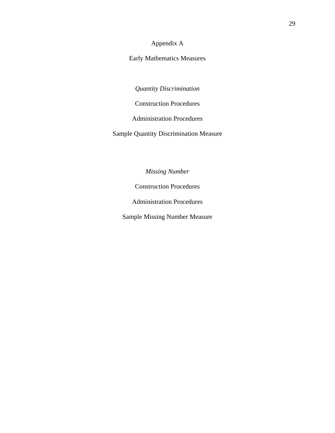Appendix A

Early Mathematics Measures

*Quantity Discrimination* 

Construction Procedures

Administration Procedures

Sample Quantity Discrimination Measure

*Missing Number*

Construction Procedures

Administration Procedures

Sample Missing Number Measure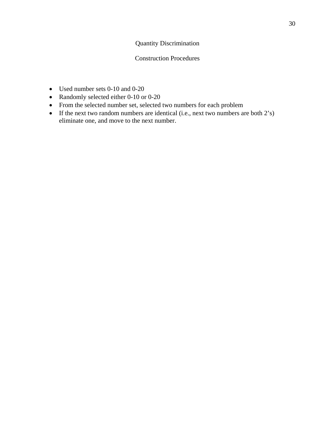# Quantity Discrimination

### Construction Procedures

- Used number sets 0-10 and 0-20
- Randomly selected either 0-10 or 0-20
- From the selected number set, selected two numbers for each problem
- If the next two random numbers are identical (i.e., next two numbers are both 2's) eliminate one, and move to the next number.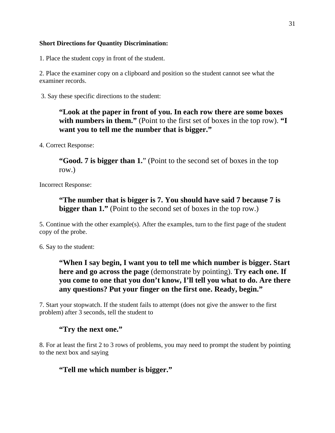### **Short Directions for Quantity Discrimination:**

1. Place the student copy in front of the student.

2. Place the examiner copy on a clipboard and position so the student cannot see what the examiner records.

3. Say these specific directions to the student:

# **"Look at the paper in front of you. In each row there are some boxes with numbers in them."** (Point to the first set of boxes in the top row). **"I want you to tell me the number that is bigger."**

4. Correct Response:

**"Good. 7 is bigger than 1."** (Point to the second set of boxes in the top row.)

Incorrect Response:

**"The number that is bigger is 7. You should have said 7 because 7 is bigger than 1."** (Point to the second set of boxes in the top row.)

5. Continue with the other example(s). After the examples, turn to the first page of the student copy of the probe.

6. Say to the student:

# **"When I say begin, I want you to tell me which number is bigger. Start here and go across the page** (demonstrate by pointing). **Try each one. If you come to one that you don't know, I'll tell you what to do. Are there any questions? Put your finger on the first one. Ready, begin."**

7. Start your stopwatch. If the student fails to attempt (does not give the answer to the first problem) after 3 seconds, tell the student to

# **"Try the next one."**

8. For at least the first 2 to 3 rows of problems, you may need to prompt the student by pointing to the next box and saying

# **"Tell me which number is bigger."**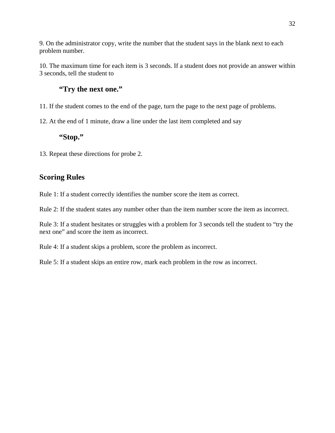9. On the administrator copy, write the number that the student says in the blank next to each problem number.

10. The maximum time for each item is 3 seconds. If a student does not provide an answer within 3 seconds, tell the student to

# **"Try the next one."**

11. If the student comes to the end of the page, turn the page to the next page of problems.

12. At the end of 1 minute, draw a line under the last item completed and say

# **"Stop."**

13. Repeat these directions for probe 2.

# **Scoring Rules**

Rule 1: If a student correctly identifies the number score the item as correct.

Rule 2: If the student states any number other than the item number score the item as incorrect.

Rule 3: If a student hesitates or struggles with a problem for 3 seconds tell the student to "try the next one" and score the item as incorrect.

Rule 4: If a student skips a problem, score the problem as incorrect.

Rule 5: If a student skips an entire row, mark each problem in the row as incorrect.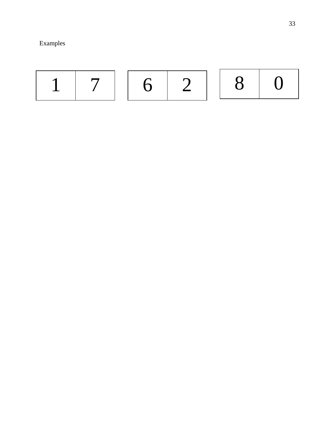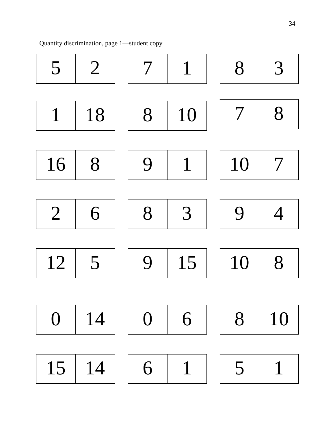Quantity discrimination, page 1—student copy

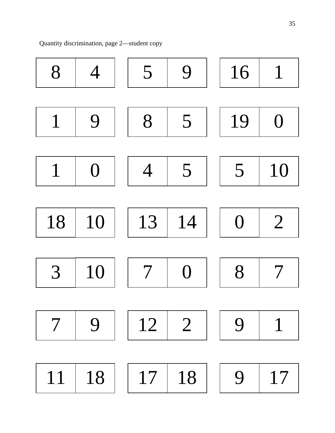Quantity discrimination, page 2—student copy

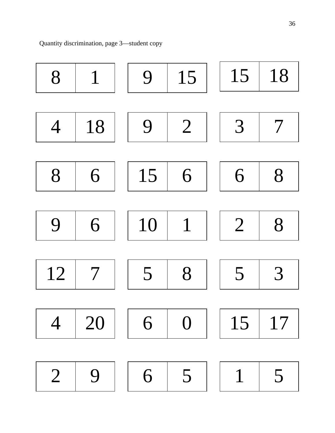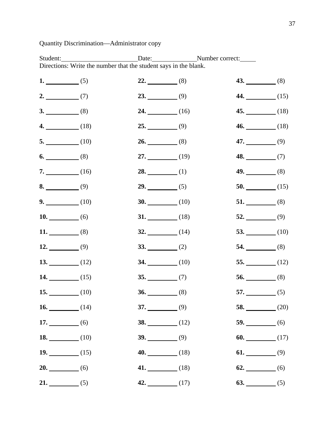# Quantity Discrimination—Administrator copy

Student: Date: Date: Number correct: Directions: Write the number that the student says in the blank.

| 1. $(5)$  |            | $22.$ (8)  | $43.$ (8)               |  |
|-----------|------------|------------|-------------------------|--|
| $2.$ (7)  |            | $23.$ (9)  | 44. $(15)$              |  |
| $3.$ (8)  |            | 24. $(16)$ | 45. $(18)$              |  |
|           | $4.$ (18)  | $25.$ (9)  | $46.$ (18)              |  |
|           | $5.$ (10)  | $26.$ (8)  | 47. $(9)$               |  |
| $6.$ (8)  |            | 27. $(19)$ | $48.$ (7)               |  |
|           | $7.$ (16)  | 28. $(1)$  | $49.$ (8)               |  |
| 8. $(9)$  |            | $29.$ (5)  | 50. $(15)$              |  |
|           | $9.$ (10)  | 30. $(10)$ | $51.$ (8)               |  |
| 10. $(6)$ |            | 31. $(18)$ | $52.$ (9)               |  |
| 11. $(8)$ |            | 32. $(14)$ | 53. $(10)$              |  |
| 12. $(9)$ |            | $33.$ (2)  | 54. $(8)$               |  |
|           | 13. $(12)$ | 34. $(10)$ | 55. $(12)$              |  |
|           | 14. $(15)$ | $35.$ (7)  | 56. $(8)$               |  |
|           | 15. $(10)$ | $36.$ (8)  | 57. $(5)$               |  |
|           | 16. $(14)$ | $37.$ (9)  | 58. $(20)$              |  |
| 17. $(6)$ |            | 38. $(12)$ | 59. $\qquad \qquad (6)$ |  |
|           | 18. $(10)$ | 39. $(9)$  | 60. $(17)$              |  |
|           | 19. $(15)$ | $40.$ (18) | 61. $(9)$               |  |
| $20.$ (6) |            | 41. $(18)$ | $62.$ (6)               |  |
| $21.$ (5) |            | 42. $(17)$ | 63. $\qquad \qquad (5)$ |  |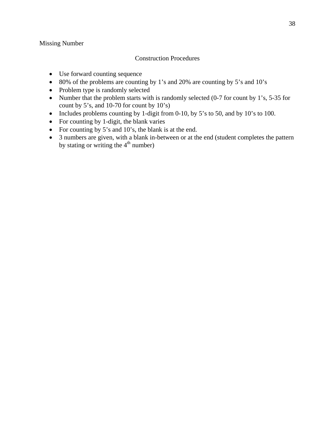### Missing Number

### Construction Procedures

- Use forward counting sequence
- 80% of the problems are counting by 1's and 20% are counting by 5's and 10's
- Problem type is randomly selected
- Number that the problem starts with is randomly selected (0-7 for count by 1's, 5-35 for count by 5's, and 10-70 for count by 10's)
- Includes problems counting by 1-digit from 0-10, by 5's to 50, and by 10's to 100.
- For counting by 1-digit, the blank varies
- For counting by 5's and 10's, the blank is at the end.
- 3 numbers are given, with a blank in-between or at the end (student completes the pattern by stating or writing the  $4<sup>th</sup>$  number)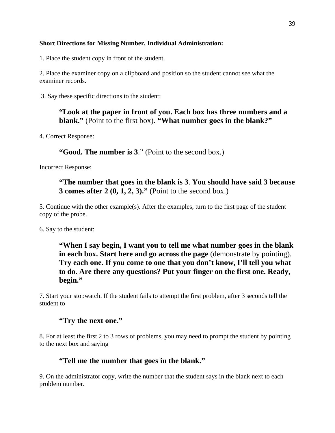### **Short Directions for Missing Number, Individual Administration:**

1. Place the student copy in front of the student.

2. Place the examiner copy on a clipboard and position so the student cannot see what the examiner records.

3. Say these specific directions to the student:

**"Look at the paper in front of you. Each box has three numbers and a blank."** (Point to the first box). **"What number goes in the blank?"** 

4. Correct Response:

**"Good. The number is 3**." (Point to the second box.)

Incorrect Response:

**"The number that goes in the blank is 3**. **You should have said 3 because 3 comes after 2 (0, 1, 2, 3)."** (Point to the second box.)

5. Continue with the other example(s). After the examples, turn to the first page of the student copy of the probe.

6. Say to the student:

**"When I say begin, I want you to tell me what number goes in the blank in each box. Start here and go across the page** (demonstrate by pointing). **Try each one. If you come to one that you don't know, I'll tell you what to do. Are there any questions? Put your finger on the first one. Ready, begin."** 

7. Start your stopwatch. If the student fails to attempt the first problem, after 3 seconds tell the student to

# **"Try the next one."**

8. For at least the first 2 to 3 rows of problems, you may need to prompt the student by pointing to the next box and saying

# **"Tell me the number that goes in the blank."**

9. On the administrator copy, write the number that the student says in the blank next to each problem number.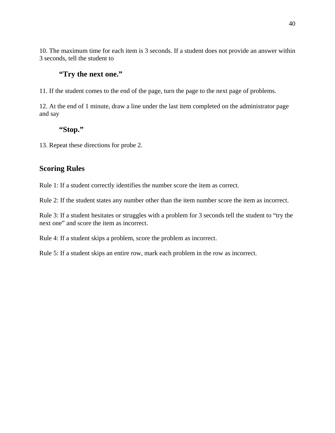10. The maximum time for each item is 3 seconds. If a student does not provide an answer within 3 seconds, tell the student to

# **"Try the next one."**

11. If the student comes to the end of the page, turn the page to the next page of problems.

12. At the end of 1 minute, draw a line under the last item completed on the administrator page and say

# **"Stop."**

13. Repeat these directions for probe 2.

## **Scoring Rules**

Rule 1: If a student correctly identifies the number score the item as correct.

Rule 2: If the student states any number other than the item number score the item as incorrect.

Rule 3: If a student hesitates or struggles with a problem for 3 seconds tell the student to "try the next one" and score the item as incorrect.

Rule 4: If a student skips a problem, score the problem as incorrect.

Rule 5: If a student skips an entire row, mark each problem in the row as incorrect.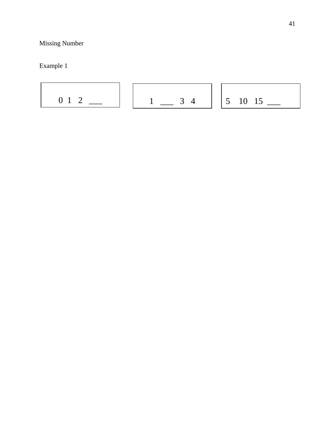41

# Missing Number

Example 1

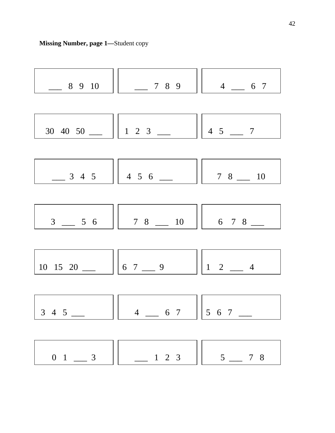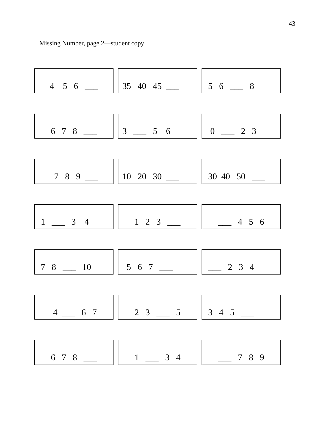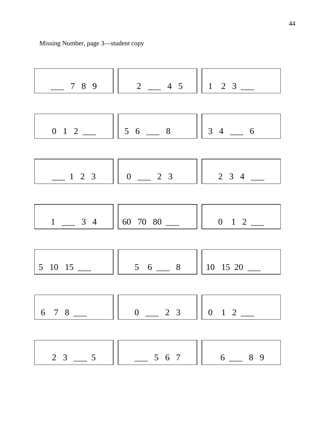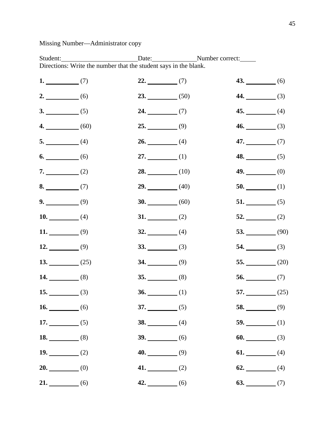# Missing Number—Administrator copy

Student: Date: Date: Number correct: Directions: Write the number that the student says in the blank.

| 1. $(7)$  |            | $22.$ (7)  | $43.$ (6)  |
|-----------|------------|------------|------------|
| $2.$ (6)  |            | $23.$ (50) | $44.$ (3)  |
| $3.$ (5)  |            | $24.$ (7)  | 45. $(4)$  |
|           | $4.$ (60)  | $25.$ (9)  | $46.$ (3)  |
| $5.$ (4)  |            | $26.$ (4)  | 47. $(7)$  |
| $6.$ (6)  |            | 27. $(1)$  | 48. $(5)$  |
| $7.$ (2)  |            | $28.$ (10) | $49.$ (0)  |
| $8.$ (7)  |            | $29.$ (40) | $50.$ (1)  |
| $9.$ (9)  |            | 30. $(60)$ | $51.$ (5)  |
| 10. $(4)$ |            | $31.$ (2)  | $52.$ (2)  |
| 11. $(9)$ |            | $32.$ (4)  | 53. $(90)$ |
| 12. $(9)$ |            | $33.$ (3)  | 54. $(3)$  |
|           | 13. $(25)$ | $34.$ (9)  | 55. $(20)$ |
| 14. $(8)$ |            | $35.$ (8)  | 56. $(7)$  |
| 15. $(3)$ |            | 36. $(1)$  | 57. $(25)$ |
| 16. $(6)$ |            | $37.$ (5)  | 58. $(9)$  |
| 17. $(5)$ |            | 38. $(4)$  | 59. $(1)$  |
| 18. $(8)$ |            | $39.$ (6)  | 60. $(3)$  |
| 19. $(2)$ |            | $40.$ (9)  | 61. $(4)$  |
| $20.$ (0) |            | 41. $(2)$  | 62. $(4)$  |
| $21.$ (6) |            | $42.$ (6)  | 63. $(7)$  |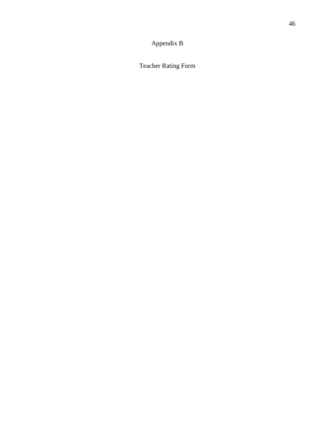Appendix B

Teacher Rating Form